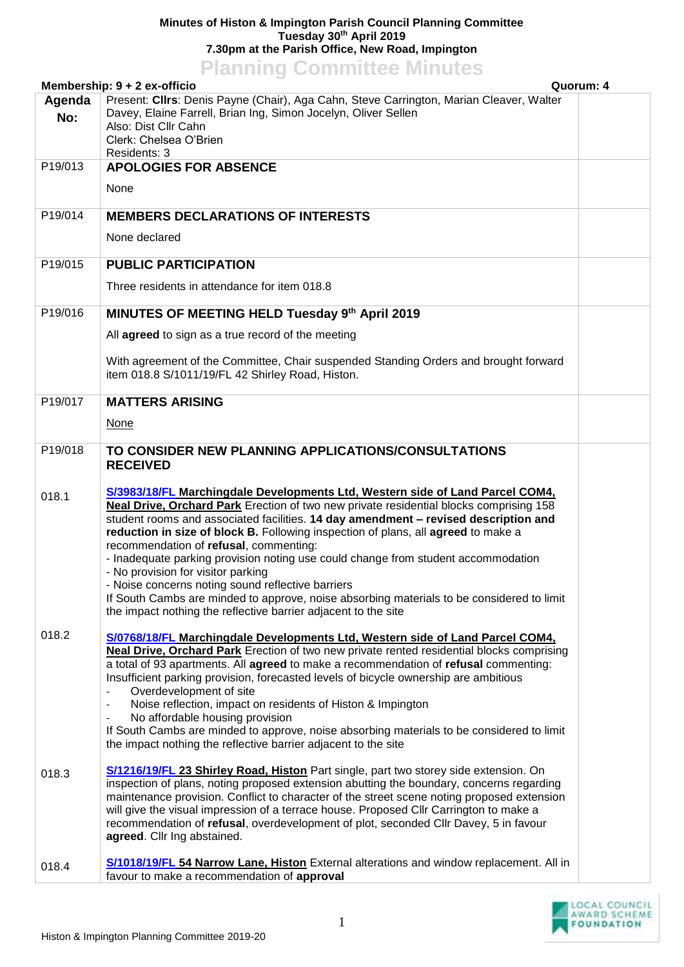## **Minutes of Histon & Impington Parish Council Planning Committee Tuesday 30th April 2019 7.30pm at the Parish Office, New Road, Impington**

|                                           | <b>Planning Committee Minutes</b>                                                                                                                                                                                                                                                                                                                                                                                                                                                                                                                                                                                                                                                                                                                   |  |  |
|-------------------------------------------|-----------------------------------------------------------------------------------------------------------------------------------------------------------------------------------------------------------------------------------------------------------------------------------------------------------------------------------------------------------------------------------------------------------------------------------------------------------------------------------------------------------------------------------------------------------------------------------------------------------------------------------------------------------------------------------------------------------------------------------------------------|--|--|
| Membership: 9 + 2 ex-officio<br>Quorum: 4 |                                                                                                                                                                                                                                                                                                                                                                                                                                                                                                                                                                                                                                                                                                                                                     |  |  |
| Agenda<br>No:                             | Present: Clirs: Denis Payne (Chair), Aga Cahn, Steve Carrington, Marian Cleaver, Walter<br>Davey, Elaine Farrell, Brian Ing, Simon Jocelyn, Oliver Sellen<br>Also: Dist Cllr Cahn<br>Clerk: Chelsea O'Brien<br>Residents: 3                                                                                                                                                                                                                                                                                                                                                                                                                                                                                                                         |  |  |
| P19/013                                   | <b>APOLOGIES FOR ABSENCE</b>                                                                                                                                                                                                                                                                                                                                                                                                                                                                                                                                                                                                                                                                                                                        |  |  |
|                                           | None                                                                                                                                                                                                                                                                                                                                                                                                                                                                                                                                                                                                                                                                                                                                                |  |  |
| P19/014                                   | <b>MEMBERS DECLARATIONS OF INTERESTS</b>                                                                                                                                                                                                                                                                                                                                                                                                                                                                                                                                                                                                                                                                                                            |  |  |
|                                           | None declared                                                                                                                                                                                                                                                                                                                                                                                                                                                                                                                                                                                                                                                                                                                                       |  |  |
| P19/015                                   | <b>PUBLIC PARTICIPATION</b>                                                                                                                                                                                                                                                                                                                                                                                                                                                                                                                                                                                                                                                                                                                         |  |  |
|                                           | Three residents in attendance for item 018.8                                                                                                                                                                                                                                                                                                                                                                                                                                                                                                                                                                                                                                                                                                        |  |  |
| P19/016                                   | MINUTES OF MEETING HELD Tuesday 9th April 2019                                                                                                                                                                                                                                                                                                                                                                                                                                                                                                                                                                                                                                                                                                      |  |  |
|                                           | All agreed to sign as a true record of the meeting                                                                                                                                                                                                                                                                                                                                                                                                                                                                                                                                                                                                                                                                                                  |  |  |
|                                           | With agreement of the Committee, Chair suspended Standing Orders and brought forward<br>item 018.8 S/1011/19/FL 42 Shirley Road, Histon.                                                                                                                                                                                                                                                                                                                                                                                                                                                                                                                                                                                                            |  |  |
| P19/017                                   | <b>MATTERS ARISING</b>                                                                                                                                                                                                                                                                                                                                                                                                                                                                                                                                                                                                                                                                                                                              |  |  |
|                                           | <b>None</b>                                                                                                                                                                                                                                                                                                                                                                                                                                                                                                                                                                                                                                                                                                                                         |  |  |
| P19/018                                   | TO CONSIDER NEW PLANNING APPLICATIONS/CONSULTATIONS<br><b>RECEIVED</b>                                                                                                                                                                                                                                                                                                                                                                                                                                                                                                                                                                                                                                                                              |  |  |
| 018.1                                     | S/3983/18/FL Marchingdale Developments Ltd, Western side of Land Parcel COM4,<br><b>Neal Drive, Orchard Park</b> Erection of two new private residential blocks comprising 158<br>student rooms and associated facilities. 14 day amendment - revised description and<br>reduction in size of block B. Following inspection of plans, all agreed to make a<br>recommendation of refusal, commenting:<br>- Inadequate parking provision noting use could change from student accommodation<br>- No provision for visitor parking<br>- Noise concerns noting sound reflective barriers<br>If South Cambs are minded to approve, noise absorbing materials to be considered to limit<br>the impact nothing the reflective barrier adjacent to the site |  |  |
| 018.2                                     | S/0768/18/FL Marchingdale Developments Ltd, Western side of Land Parcel COM4,<br><b>Neal Drive, Orchard Park</b> Erection of two new private rented residential blocks comprising<br>a total of 93 apartments. All agreed to make a recommendation of refusal commenting:<br>Insufficient parking provision, forecasted levels of bicycle ownership are ambitious<br>Overdevelopment of site<br>Noise reflection, impact on residents of Histon & Impington<br>No affordable housing provision<br>If South Cambs are minded to approve, noise absorbing materials to be considered to limit<br>the impact nothing the reflective barrier adjacent to the site                                                                                       |  |  |
| 018.3                                     | S/1216/19/FL 23 Shirley Road, Histon Part single, part two storey side extension. On<br>inspection of plans, noting proposed extension abutting the boundary, concerns regarding<br>maintenance provision. Conflict to character of the street scene noting proposed extension<br>will give the visual impression of a terrace house. Proposed Cllr Carrington to make a<br>recommendation of refusal, overdevelopment of plot, seconded Cllr Davey, 5 in favour<br>agreed. Cllr Ing abstained.                                                                                                                                                                                                                                                     |  |  |
| 018.4                                     | S/1018/19/FL 54 Narrow Lane, Histon External alterations and window replacement. All in<br>favour to make a recommendation of approval                                                                                                                                                                                                                                                                                                                                                                                                                                                                                                                                                                                                              |  |  |

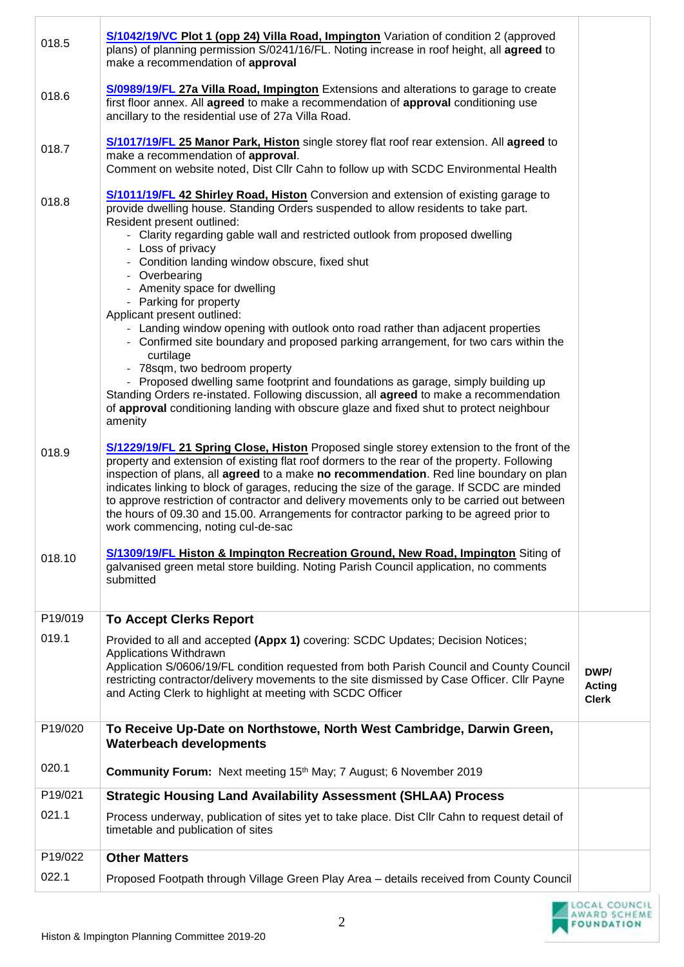| 018.5           | <b>S/1042/19/VC Plot 1 (opp 24) Villa Road, Impington</b> Variation of condition 2 (approved<br>plans) of planning permission S/0241/16/FL. Noting increase in roof height, all agreed to<br>make a recommendation of approval                                                                                                                                                                                                                                                                                                                                                                                                                                                                                                                                                                                                                                                                                                                                                              |                                       |
|-----------------|---------------------------------------------------------------------------------------------------------------------------------------------------------------------------------------------------------------------------------------------------------------------------------------------------------------------------------------------------------------------------------------------------------------------------------------------------------------------------------------------------------------------------------------------------------------------------------------------------------------------------------------------------------------------------------------------------------------------------------------------------------------------------------------------------------------------------------------------------------------------------------------------------------------------------------------------------------------------------------------------|---------------------------------------|
| 018.6           | <b>S/0989/19/FL 27a Villa Road, Impington</b> Extensions and alterations to garage to create<br>first floor annex. All agreed to make a recommendation of approval conditioning use<br>ancillary to the residential use of 27a Villa Road.                                                                                                                                                                                                                                                                                                                                                                                                                                                                                                                                                                                                                                                                                                                                                  |                                       |
| 018.7           | S/1017/19/FL 25 Manor Park, Histon single storey flat roof rear extension. All agreed to<br>make a recommendation of approval.<br>Comment on website noted, Dist Cllr Cahn to follow up with SCDC Environmental Health                                                                                                                                                                                                                                                                                                                                                                                                                                                                                                                                                                                                                                                                                                                                                                      |                                       |
| 018.8           | <b>S/1011/19/FL 42 Shirley Road, Histon</b> Conversion and extension of existing garage to<br>provide dwelling house. Standing Orders suspended to allow residents to take part.<br>Resident present outlined:<br>- Clarity regarding gable wall and restricted outlook from proposed dwelling<br>- Loss of privacy<br>- Condition landing window obscure, fixed shut<br>- Overbearing<br>- Amenity space for dwelling<br>- Parking for property<br>Applicant present outlined:<br>- Landing window opening with outlook onto road rather than adjacent properties<br>- Confirmed site boundary and proposed parking arrangement, for two cars within the<br>curtilage<br>- 78sqm, two bedroom property<br>- Proposed dwelling same footprint and foundations as garage, simply building up<br>Standing Orders re-instated. Following discussion, all agreed to make a recommendation<br>of approval conditioning landing with obscure glaze and fixed shut to protect neighbour<br>amenity |                                       |
| 018.9<br>018.10 | S/1229/19/FL 21 Spring Close, Histon Proposed single storey extension to the front of the<br>property and extension of existing flat roof dormers to the rear of the property. Following<br>inspection of plans, all agreed to a make no recommendation. Red line boundary on plan<br>indicates linking to block of garages, reducing the size of the garage. If SCDC are minded<br>to approve restriction of contractor and delivery movements only to be carried out between<br>the hours of 09.30 and 15.00. Arrangements for contractor parking to be agreed prior to<br>work commencing, noting cul-de-sac<br><b>S/1309/19/FL Histon &amp; Impington Recreation Ground, New Road, Impington</b> Siting of<br>galvanised green metal store building. Noting Parish Council application, no comments                                                                                                                                                                                     |                                       |
|                 | submitted                                                                                                                                                                                                                                                                                                                                                                                                                                                                                                                                                                                                                                                                                                                                                                                                                                                                                                                                                                                   |                                       |
| P19/019         | <b>To Accept Clerks Report</b>                                                                                                                                                                                                                                                                                                                                                                                                                                                                                                                                                                                                                                                                                                                                                                                                                                                                                                                                                              |                                       |
| 019.1           | Provided to all and accepted (Appx 1) covering: SCDC Updates; Decision Notices;<br>Applications Withdrawn<br>Application S/0606/19/FL condition requested from both Parish Council and County Council<br>restricting contractor/delivery movements to the site dismissed by Case Officer. Cllr Payne<br>and Acting Clerk to highlight at meeting with SCDC Officer                                                                                                                                                                                                                                                                                                                                                                                                                                                                                                                                                                                                                          | DWP/<br><b>Acting</b><br><b>Clerk</b> |
| P19/020         | To Receive Up-Date on Northstowe, North West Cambridge, Darwin Green,<br><b>Waterbeach developments</b>                                                                                                                                                                                                                                                                                                                                                                                                                                                                                                                                                                                                                                                                                                                                                                                                                                                                                     |                                       |
| 020.1           | <b>Community Forum:</b> Next meeting 15 <sup>th</sup> May; 7 August; 6 November 2019                                                                                                                                                                                                                                                                                                                                                                                                                                                                                                                                                                                                                                                                                                                                                                                                                                                                                                        |                                       |
| P19/021         | <b>Strategic Housing Land Availability Assessment (SHLAA) Process</b>                                                                                                                                                                                                                                                                                                                                                                                                                                                                                                                                                                                                                                                                                                                                                                                                                                                                                                                       |                                       |
| 021.1           | Process underway, publication of sites yet to take place. Dist Cllr Cahn to request detail of<br>timetable and publication of sites                                                                                                                                                                                                                                                                                                                                                                                                                                                                                                                                                                                                                                                                                                                                                                                                                                                         |                                       |
| P19/022         | <b>Other Matters</b>                                                                                                                                                                                                                                                                                                                                                                                                                                                                                                                                                                                                                                                                                                                                                                                                                                                                                                                                                                        |                                       |
| 022.1           | Proposed Footpath through Village Green Play Area - details received from County Council                                                                                                                                                                                                                                                                                                                                                                                                                                                                                                                                                                                                                                                                                                                                                                                                                                                                                                    |                                       |